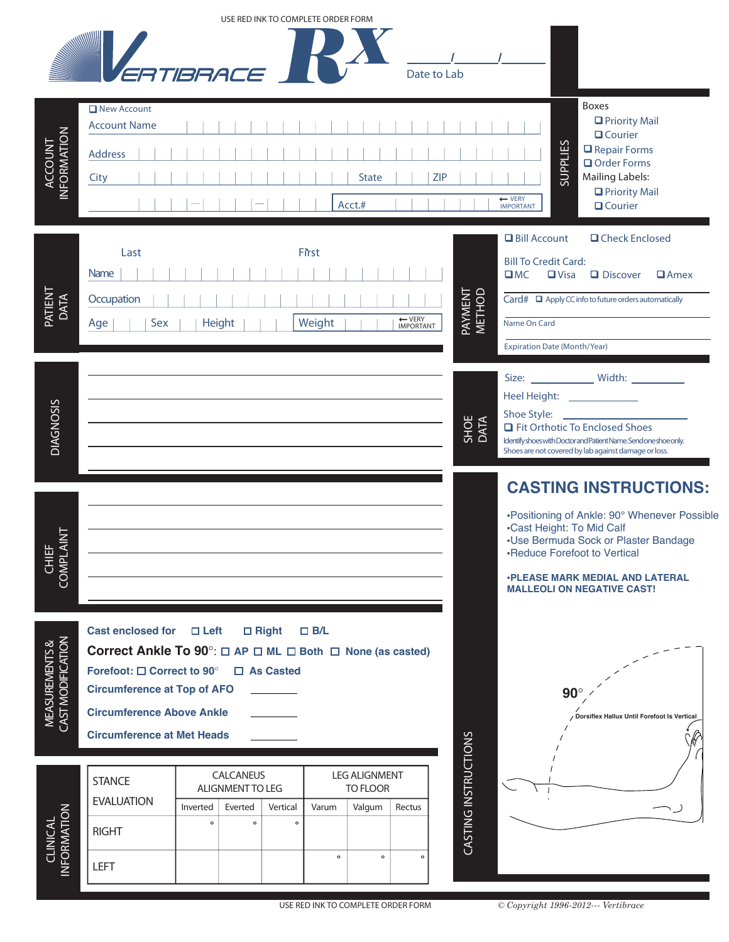|                                                 |                                                                                                                                                                       | USE RED INK TO COMPLETE ORDER FORM                                                                                                          |                              |                                  |                      |                                                                                                                                                                                                                                                                  |
|-------------------------------------------------|-----------------------------------------------------------------------------------------------------------------------------------------------------------------------|---------------------------------------------------------------------------------------------------------------------------------------------|------------------------------|----------------------------------|----------------------|------------------------------------------------------------------------------------------------------------------------------------------------------------------------------------------------------------------------------------------------------------------|
|                                                 |                                                                                                                                                                       | ERTIRRACE                                                                                                                                   |                              | Date to Lab                      |                      |                                                                                                                                                                                                                                                                  |
| ACCOUNT<br>INFORMATION                          | New Account<br><b>Account Name</b><br><b>Address</b><br>City                                                                                                          |                                                                                                                                             | <b>State</b><br>Acct.#       | <b>ZIP</b>                       |                      | <b>Boxes</b><br>□ Priority Mail<br>$\Box$ Courier<br>SUPPLIES<br>Repair Forms<br>Order Forms<br><b>Mailing Labels:</b><br>□ Priority Mail<br>← VERY<br><b>Q</b> Courier<br><b>IMPORTANT</b>                                                                      |
| PATIENT<br>DATA                                 | Last<br>Name<br>Occupation<br>Sex<br>Age                                                                                                                              | Height                                                                                                                                      | First<br>Weight              | ← VERY<br>IMPORTANT              | PAYMENT<br>METHOD    | <b>Q</b> Check Enclosed<br><b>Q</b> Bill Account<br><b>Bill To Credit Card:</b><br>C<br><b>Q</b> Discover<br>$\Box$ Visa<br>$\Box$ Amex<br>$Card# \square$ Apply CC info to future orders automatically<br>Name On Card<br><b>Expiration Date (Month/Year)</b>   |
| <b>DIAGNOSIS</b>                                |                                                                                                                                                                       |                                                                                                                                             |                              |                                  | SHOE<br>DATA         | Heel Height: ________________<br>Shoe Style:<br><b>Q</b> Fit Orthotic To Enclosed Shoes<br>Identify shoes with Doctor and Patient Name. Send one shoe only.<br>Shoes are not covered by lab against damage or loss.                                              |
| $\frac{Z}{Z}$<br>COMPLA<br>COMPLA               |                                                                                                                                                                       |                                                                                                                                             |                              |                                  |                      | <b>CASTING INSTRUCTIONS:</b><br>•Positioning of Ankle: 90° Whenever Possible<br>•Cast Height: To Mid Calf<br>•Use Bermuda Sock or Plaster Bandage<br>•Reduce Forefoot to Vertical<br><b>.PLEASE MARK MEDIAL AND LATERAL</b><br><b>MALLEOLI ON NEGATIVE CAST!</b> |
| <b>MEASUREMENTS &amp;<br/>CAST MODIFICATION</b> | <b>Cast enclosed for</b><br>Forefoot: □ Correct to 90°<br><b>Circumference at Top of AFO</b><br><b>Circumference Above Ankle</b><br><b>Circumference at Met Heads</b> | $\Box$ Left<br>$\Box$ Right<br>Correct Ankle To $90^\circ$ : $\Box$ AP $\Box$ ML $\Box$ Both $\Box$ None (as casted)<br>$\square$ As Casted | $\square$ B/L                |                                  |                      | 90<br>Dorsiflex Hallux Until Forefoot Is Vertical                                                                                                                                                                                                                |
|                                                 |                                                                                                                                                                       |                                                                                                                                             |                              |                                  |                      |                                                                                                                                                                                                                                                                  |
|                                                 | <b>STANCE</b>                                                                                                                                                         | CALCANEUS<br>ALIGNMENT TO LEG                                                                                                               |                              | <b>LEG ALIGNMENT</b><br>TO FLOOR |                      |                                                                                                                                                                                                                                                                  |
|                                                 | <b>EVALUATION</b>                                                                                                                                                     | Vertical<br>Inverted<br>Everted                                                                                                             | Varum<br>Valgum              | Rectus                           |                      |                                                                                                                                                                                                                                                                  |
| CLINICAL                                        | <b>RIGHT</b>                                                                                                                                                          | $\mathbf{o}$<br>$\mathbf{o}$<br>$\circ$                                                                                                     |                              |                                  | CASTING INSTRUCTIONS |                                                                                                                                                                                                                                                                  |
| NFORMATION                                      | LEFT                                                                                                                                                                  |                                                                                                                                             | $\mathbf{o}$<br>$\mathbf{o}$ | $\circ$                          |                      |                                                                                                                                                                                                                                                                  |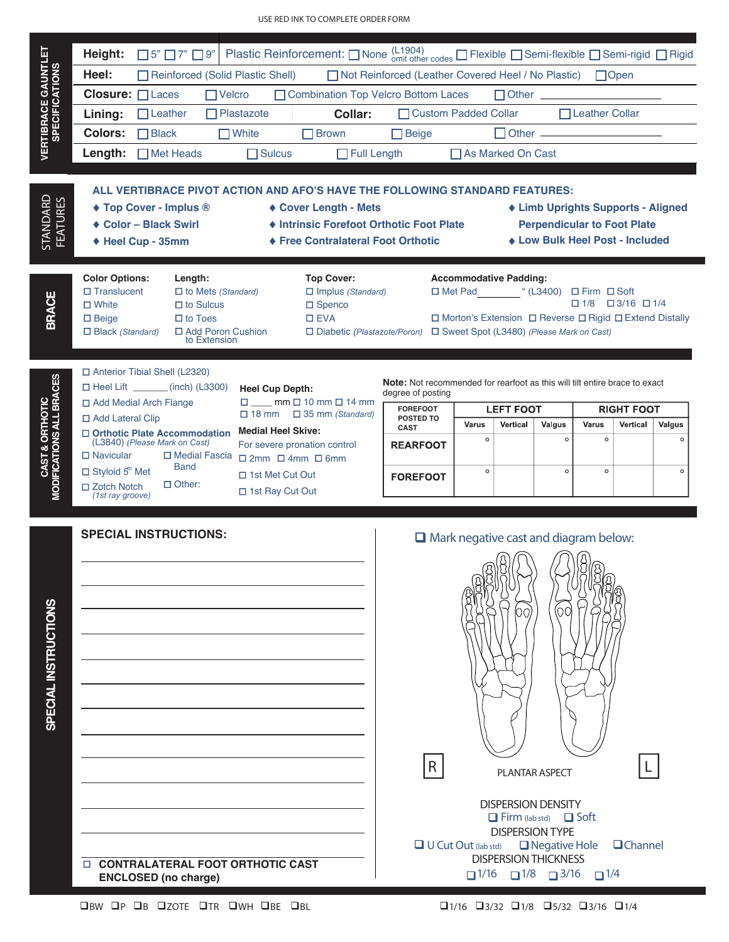|                                                     | Height:                                                                                                                                                                                                                                                                                                                                                                                                                                                                                                                                                                                        | $\Box$ 5" $\Box$ 7" $\Box$ 9"                                                                                                                                                                     |                                              |                                                                                                         | Plastic Reinforcement: $\Box$ None $_{\text{omit other codes}}^{(L1904)}$ $\Box$ Flexible $\Box$ Semi-flexible $\Box$ Semi-rigid $\Box$ Rigid            |                                                                                                                                                                                                                                        |                             |                                  |                              |                             |                               |                              |
|-----------------------------------------------------|------------------------------------------------------------------------------------------------------------------------------------------------------------------------------------------------------------------------------------------------------------------------------------------------------------------------------------------------------------------------------------------------------------------------------------------------------------------------------------------------------------------------------------------------------------------------------------------------|---------------------------------------------------------------------------------------------------------------------------------------------------------------------------------------------------|----------------------------------------------|---------------------------------------------------------------------------------------------------------|----------------------------------------------------------------------------------------------------------------------------------------------------------|----------------------------------------------------------------------------------------------------------------------------------------------------------------------------------------------------------------------------------------|-----------------------------|----------------------------------|------------------------------|-----------------------------|-------------------------------|------------------------------|
|                                                     | Heel:                                                                                                                                                                                                                                                                                                                                                                                                                                                                                                                                                                                          | Reinforced (Solid Plastic Shell)<br>□ Not Reinforced (Leather Covered Heel / No Plastic) □ Open                                                                                                   |                                              |                                                                                                         |                                                                                                                                                          |                                                                                                                                                                                                                                        |                             |                                  |                              |                             |                               |                              |
| <b>VERTIBRACE GAUNTLET</b><br><b>SPECIFICATIONS</b> | Closure: <b>ILaces</b>                                                                                                                                                                                                                                                                                                                                                                                                                                                                                                                                                                         | $\Box$ Velcro<br>Combination Top Velcro Bottom Laces<br>$\Box$ Other                                                                                                                              |                                              |                                                                                                         |                                                                                                                                                          |                                                                                                                                                                                                                                        |                             |                                  |                              |                             |                               |                              |
|                                                     | Lining:                                                                                                                                                                                                                                                                                                                                                                                                                                                                                                                                                                                        | $\Box$ Leather                                                                                                                                                                                    |                                              | $\Box$ Plastazote                                                                                       | Collar:                                                                                                                                                  |                                                                                                                                                                                                                                        | □ Custom Padded Collar      |                                  | $\Box$ Leather Collar        |                             |                               |                              |
|                                                     | <b>Colors:</b>                                                                                                                                                                                                                                                                                                                                                                                                                                                                                                                                                                                 | $\Box$ Black                                                                                                                                                                                      |                                              | $\Box$ White<br>$\Box$ Brown                                                                            |                                                                                                                                                          | $\Box$ Beige                                                                                                                                                                                                                           |                             | <b>Other</b> <u>____________</u> |                              |                             |                               |                              |
|                                                     | Length:                                                                                                                                                                                                                                                                                                                                                                                                                                                                                                                                                                                        | $\Box$ Met Heads                                                                                                                                                                                  |                                              |                                                                                                         | $\Box$ Full Length<br>$\Box$ Sulcus                                                                                                                      |                                                                                                                                                                                                                                        |                             | □ As Marked On Cast              |                              |                             |                               |                              |
| STANDARD<br>FEATURES                                |                                                                                                                                                                                                                                                                                                                                                                                                                                                                                                                                                                                                | ◆ Top Cover - Implus ®<br>◆ Color - Black Swirl<br>◆ Heel Cup - 35mm                                                                                                                              |                                              |                                                                                                         | ◆ Cover Length - Mets<br>♦ Free Contralateral Foot Orthotic                                                                                              | ALL VERTIBRACE PIVOT ACTION AND AFO'S HAVE THE FOLLOWING STANDARD FEATURES:<br>◆ Limb Uprights Supports - Aligned<br>♦ Intrinsic Forefoot Orthotic Foot Plate<br><b>Perpendicular to Foot Plate</b><br>◆ Low Bulk Heel Post - Included |                             |                                  |                              |                             |                               |                              |
| <b>BRACE</b>                                        | <b>Color Options:</b><br><b>Top Cover:</b><br><b>Accommodative Padding:</b><br>Length:<br>□ Met Pad "(L3400) □ Firm □ Soft<br>$\Box$ Translucent<br>$\Box$ Implus (Standard)<br>$\Box$ to Mets (Standard)<br>$\Box$ 1/8 $\Box$ 3/16 $\Box$ 1/4<br>$\Box$ White<br>$\Box$ to Sulcus<br>$\Box$ Spenco<br>$\Box$ to Toes<br>$\square$ EVA<br>$\Box$ Morton's Extension $\Box$ Reverse $\Box$ Rigid $\Box$ Extend Distally<br>$\Box$ Beige<br>$\Box$ Black (Standard)<br>□ Add Poron Cushion<br>$\Box$ Diabetic (Plastazote/Poron) $\Box$ Sweet Spot (L3480) (Please Mark on Cast)<br>to Extension |                                                                                                                                                                                                   |                                              |                                                                                                         |                                                                                                                                                          |                                                                                                                                                                                                                                        |                             |                                  |                              |                             |                               |                              |
| <b>MODIFICATIONS ALL BRACES</b><br>CAST & ORTHOTIC  | □ Add Lateral Clip<br>$\Box$ Navicular<br>$\Box$ Styloid $5^{\text{th}}$ Met<br>$\Box$ Zotch Notch<br>(1st ray groove)                                                                                                                                                                                                                                                                                                                                                                                                                                                                         | □ Anterior Tibial Shell (L2320)<br>$\Box$ Heel Lift (inch) (L3300)<br>□ Add Medial Arch Flange<br>□ Orthotic Plate Accommodation<br>(L3840) (Please Mark on Cast)<br><b>Band</b><br>$\Box$ Other: | □ Medial Fascia                              | <b>Heel Cup Depth:</b><br><b>Medial Heel Skive:</b><br>$\Box$ 1st Met Cut Out<br>$\Box$ 1st Ray Cut Out | $\square$ mm $\square$ 10 mm $\square$ 14 mm<br>$\Box$ 18 mm $\Box$ 35 mm (Standard)<br>For severe pronation control<br>$\Box$ 2mm $\Box$ 4mm $\Box$ 6mm | <b>Note:</b> Not recommended for rearfoot as this will tilt entire brace to exact<br>degree of posting<br><b>FOREFOOT</b><br>POSTED TO<br><b>CAST</b><br><b>REARFOOT</b><br><b>FOREFOOT</b>                                            | Varus<br>$\circ$<br>$\circ$ | <b>LEFT FOOT</b><br>Vertical     | Valgus<br>$\circ$<br>$\circ$ | Varus<br>$\circ$<br>$\circ$ | <b>RIGHT FOOT</b><br>Vertical | Valgus<br>$\circ$<br>$\circ$ |
| $\boldsymbol{\omega}$                               |                                                                                                                                                                                                                                                                                                                                                                                                                                                                                                                                                                                                | <b>SPECIAL INSTRUCTIONS:</b>                                                                                                                                                                      | $\Box$ Mark negative cast and diagram below: |                                                                                                         |                                                                                                                                                          |                                                                                                                                                                                                                                        |                             |                                  |                              |                             |                               |                              |

**SPECIAL INSTRUCTIONS** SPECIAL INSTRUCTION



BW P B ZOTE TR WH BE BL 1/16 3/32 1/8 5/32 3/16 1/4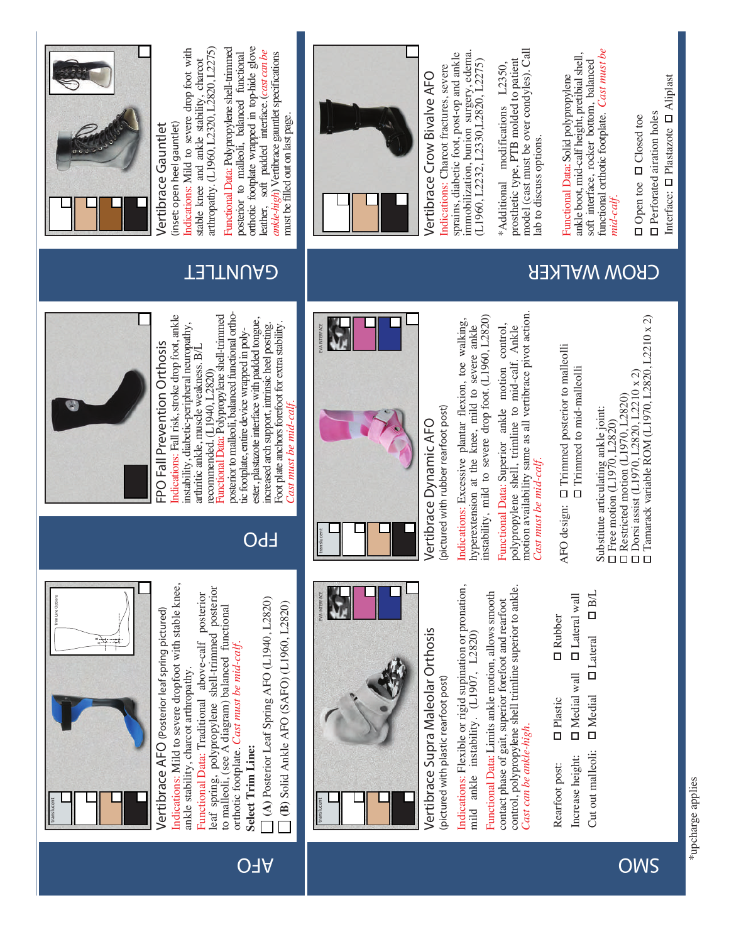# *translucent*

*translucent*

INTERFAC

*Cast must be mid-calf.* 

 $\Box$ ast must be mid-calf

Foot plate anchors forefoot for extra stability

**FPO**

ester, plastazote interface with padded tongue, increased arch support, intrinsic heel posting.

tic footplate, entire device wrapped in poly-

**(A)** Posterior Leaf Spring AFO (L1940, L2820) **(B)** Solid Ankle AFO (SAFO) (L1960, L2820)

B) Solid Ankle AFO (SAFO) (L1960, L2820)

(A) Posterior Leaf Spring AFO (L1940, L2820)

 **AFO**

**Select Trim Line:**

Select Trim Line:

Vertibrace Supra Maleolar Orthosis Vertibrace Dynamic AFO<br>place there are the place of the state of the second the second of the state of the state of the state of the<br>mild and the maximum of the state of the second inter

Medial wall Increase height: Plastic Rubber Rearfoot post: In Plastic In Rubber AFO design: In Trimmed posterior to malleolli

Lateral **DB/L** Medial Lateral wall

Free motion (L1970, L2820) Restricted motion (L1970, L2820) Dorsi assist (L1970, L2820, L2210 x 2) Tamarack variable ROM (L1970, L2820, L2210 x 2) Substitute articulating ankle joint:

Functional Data: Polypropylene shell-trimmed posterior to malleoli, balanced functional orthotic footplate, entire device wrapped in polyester, plastazote interface with padded tongue, increased arch support, intrinsic heel posting. Foot plate anchors forefoot for extra stability.

Functional Data: Polypropylene shell-trimmed posterior to malleoli, balanced functional ortho-



(inset: open heel gauntlet) **Vertibrace Gauntlet** /ertibrace Gauntlet

**FPO Fall Prevention Orthosis** Indications: Fall risk, stroke drop foot, ankle instability, diabetic-peripheral neuropathy, arthritic ankle, muscle weakness. B/L recommended. (L1940, L2820)

FPO Fall Prevention Orthosis

Indications: Fall risk, stroke drop foot, ankle

instability, diabetic-peripheral neuropathy,

arthritic ankle, muscle weakness. B/L recommended. (L1940, L2820)

**Vertibrace AFO** *(Posterior leaf spring pictured)* Indications: Mild to severe dropfoot with stable knee,

Vertibrace AFO (Posterior leaf spring pictured)

Indications: Mild to severe dropfoot with stable knee,

**B**

*translucent*

**Trim Line Options**

ankle stability, charcot arthropathy.

ankle stability, charcot arthropathy.

Functional Data: Traditional above-calf posterior leaf spring, polypropylene shell-trimmed posterior to malleoli, (see A diagram) balanced functional orthotic footplate. *Cast must be mid-calf.*

leaf spring, polypropylene shell-trimmed posterior Functional Data: Traditional above-calf posterior

to malleoli, (see A diagram) balanced functional

orthotic footplate. Cast must be mid-calf

Indications: Mild to severe drop foot with arthropathy. (L1960, L2320, L2820, L2275) arthropathy. (L1960, L2320, L2820, L2275) Indications: Mild to severe drop foot with stable knee and ankle stability, charcot stable knee and ankle stability, charcot *(inset: open heel gauntlet)*

orthotic footplate wrapped in top-hide glove Functional Data: Polypropylene shell-trimmed orthotic footplate wrapped in top-hide glove Functional Data: Polypropylene shell-trimmed leather, soft padded interface. (*cast can be*  posterior to malleoli, balanced functional leather, soft padded interface. (cast can be *ankle-high*) Vertibrace gauntlet specifications posterior to malleoli, balanced functional ankle-high) Vertibrace gauntlet specifications must be filled out on last page. must be filled out on last page.



Interface: **O** Plastazote **O** Aliplast Plastazote Aliplast **D** Perforated airation holes Perforated airation holes **Open toe D** Closed toe Open toe Closed toe Interface:

## **GROW WALKER THE READ READ READ FOR SAMPLIFET**





Trimmed to mid-malleolli

*EVA INTERFACE EVA INTERFACE*

AFO design: